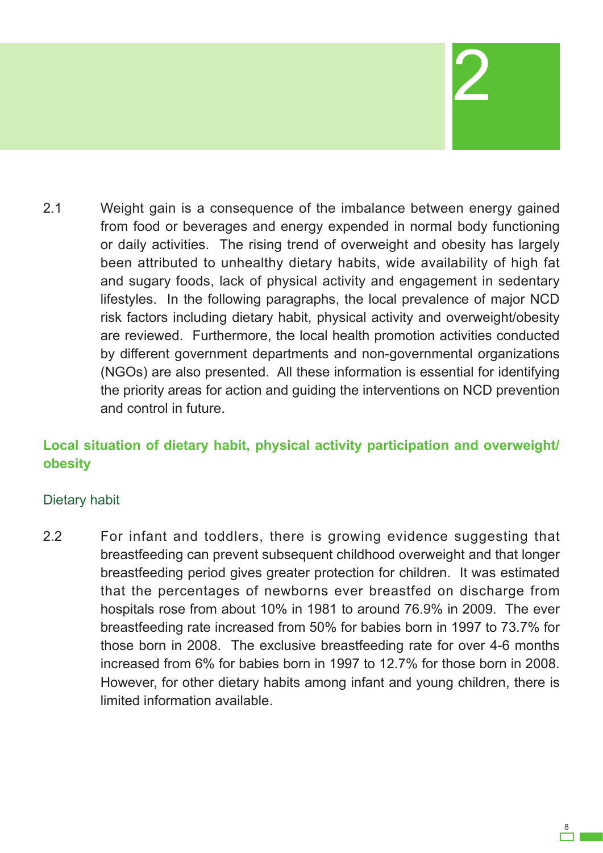# 2

2.1 Weight gain is a consequence of the imbalance between energy gained from food or beverages and energy expended in normal body functioning or daily activities. The rising trend of overweight and obesity has largely been attributed to unhealthy dietary habits, wide availability of high fat and sugary foods, lack of physical activity and engagement in sedentary lifestyles. In the following paragraphs, the local prevalence of major NCD risk factors including dietary habit, physical activity and overweight/obesity are reviewed. Furthermore, the local health promotion activities conducted by different government departments and non-governmental organizations (NGOs) are also presented. All these information is essential for identifying the priority areas for action and guiding the interventions on NCD prevention and control in future.

# **Local situation of dietary habit, physical activity participation and overweight/ obesity**

## Dietary habit

2.2 For infant and toddlers, there is growing evidence suggesting that breastfeeding can prevent subsequent childhood overweight and that longer breastfeeding period gives greater protection for children. It was estimated that the percentages of newborns ever breastfed on discharge from hospitals rose from about 10% in 1981 to around 76.9% in 2009. The ever breastfeeding rate increased from 50% for babies born in 1997 to 73.7% for those born in 2008. The exclusive breastfeeding rate for over 4-6 months increased from 6% for babies born in 1997 to 12.7% for those born in 2008. However, for other dietary habits among infant and young children, there is limited information available.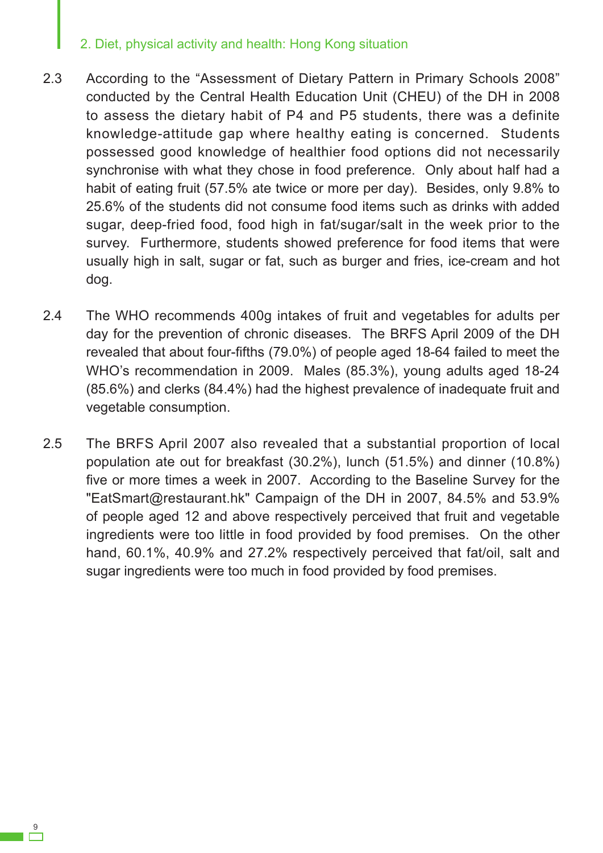- 2.3 According to the "Assessment of Dietary Pattern in Primary Schools 2008" conducted by the Central Health Education Unit (CHEU) of the DH in 2008 to assess the dietary habit of P4 and P5 students, there was a definite knowledge-attitude gap where healthy eating is concerned. Students possessed good knowledge of healthier food options did not necessarily synchronise with what they chose in food preference. Only about half had a habit of eating fruit (57.5% ate twice or more per day). Besides, only 9.8% to 25.6% of the students did not consume food items such as drinks with added sugar, deep-fried food, food high in fat/sugar/salt in the week prior to the survey. Furthermore, students showed preference for food items that were usually high in salt, sugar or fat, such as burger and fries, ice-cream and hot dog.
- 2.4 The WHO recommends 400g intakes of fruit and vegetables for adults per day for the prevention of chronic diseases. The BRFS April 2009 of the DH revealed that about four-fifths (79.0%) of people aged 18-64 failed to meet the WHO's recommendation in 2009. Males (85.3%), young adults aged 18-24 (85.6%) and clerks (84.4%) had the highest prevalence of inadequate fruit and vegetable consumption.
- 2.5 The BRFS April 2007 also revealed that a substantial proportion of local population ate out for breakfast (30.2%), lunch (51.5%) and dinner (10.8%) five or more times a week in 2007. According to the Baseline Survey for the "EatSmart@restaurant.hk" Campaign of the DH in 2007, 84.5% and 53.9% of people aged 12 and above respectively perceived that fruit and vegetable ingredients were too little in food provided by food premises. On the other hand, 60.1%, 40.9% and 27.2% respectively perceived that fat/oil, salt and sugar ingredients were too much in food provided by food premises.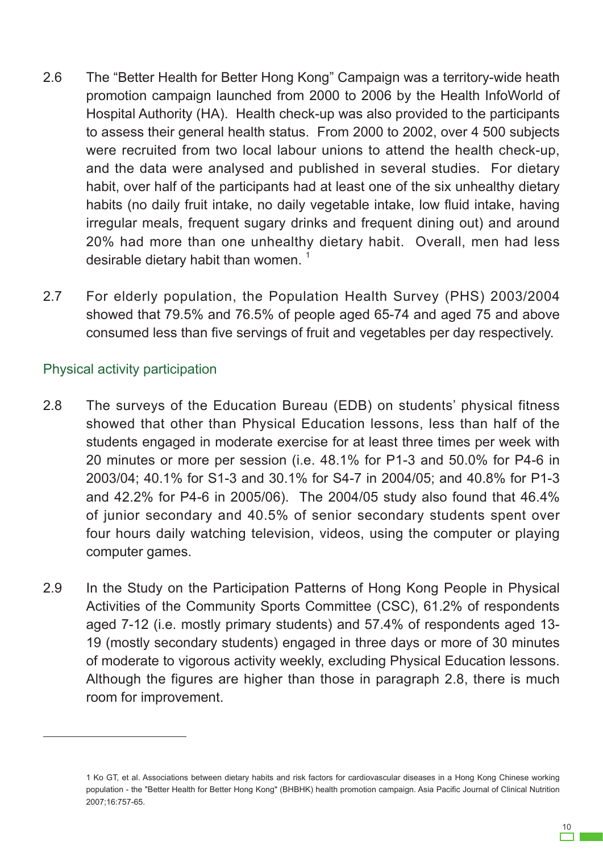- 2.6 The "Better Health for Better Hong Kong" Campaign was a territory-wide heath promotion campaign launched from 2000 to 2006 by the Health InfoWorld of Hospital Authority (HA). Health check-up was also provided to the participants to assess their general health status. From 2000 to 2002, over 4 500 subjects were recruited from two local labour unions to attend the health check-up, and the data were analysed and published in several studies. For dietary habit, over half of the participants had at least one of the six unhealthy dietary habits (no daily fruit intake, no daily vegetable intake, low fluid intake, having irregular meals, frequent sugary drinks and frequent dining out) and around 20% had more than one unhealthy dietary habit. Overall, men had less desirable dietary habit than women.<sup>1</sup>
- 2.7 For elderly population, the Population Health Survey (PHS) 2003/2004 showed that 79.5% and 76.5% of people aged 65-74 and aged 75 and above consumed less than five servings of fruit and vegetables per day respectively.

#### Physical activity participation

- 2.8 The surveys of the Education Bureau (EDB) on students' physical fitness showed that other than Physical Education lessons, less than half of the students engaged in moderate exercise for at least three times per week with 20 minutes or more per session (i.e. 48.1% for P1-3 and 50.0% for P4-6 in 2003/04; 40.1% for S1-3 and 30.1% for S4-7 in 2004/05; and 40.8% for P1-3 and 42.2% for P4-6 in 2005/06). The 2004/05 study also found that 46.4% of junior secondary and 40.5% of senior secondary students spent over four hours daily watching television, videos, using the computer or playing computer games.
- 2.9 In the Study on the Participation Patterns of Hong Kong People in Physical Activities of the Community Sports Committee (CSC), 61.2% of respondents aged 7-12 (i.e. mostly primary students) and 57.4% of respondents aged 13- 19 (mostly secondary students) engaged in three days or more of 30 minutes of moderate to vigorous activity weekly, excluding Physical Education lessons. Although the figures are higher than those in paragraph 2.8, there is much room for improvement.

<sup>1</sup> Ko GT, et al. Associations between dietary habits and risk factors for cardiovascular diseases in a Hong Kong Chinese working population - the "Better Health for Better Hong Kong" (BHBHK) health promotion campaign. Asia Pacific Journal of Clinical Nutrition 2007;16:757-65.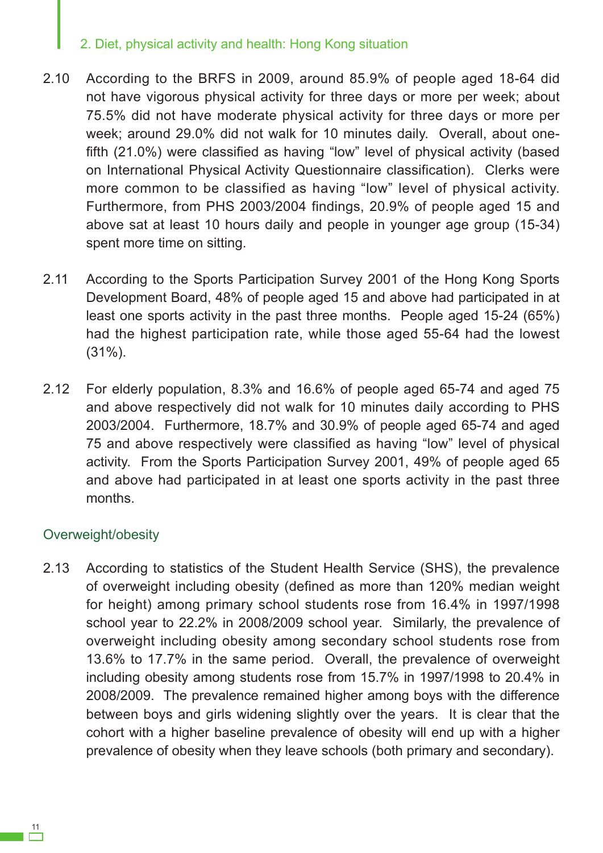- 2.10 According to the BRFS in 2009, around 85.9% of people aged 18-64 did not have vigorous physical activity for three days or more per week; about 75.5% did not have moderate physical activity for three days or more per week; around 29.0% did not walk for 10 minutes daily. Overall, about onefifth (21.0%) were classified as having "low" level of physical activity (based on International Physical Activity Questionnaire classification). Clerks were more common to be classified as having "low" level of physical activity. Furthermore, from PHS 2003/2004 findings, 20.9% of people aged 15 and above sat at least 10 hours daily and people in younger age group (15-34) spent more time on sitting.
- 2.11 According to the Sports Participation Survey 2001 of the Hong Kong Sports Development Board, 48% of people aged 15 and above had participated in at least one sports activity in the past three months. People aged 15-24 (65%) had the highest participation rate, while those aged 55-64 had the lowest (31%).
- 2.12 For elderly population, 8.3% and 16.6% of people aged 65-74 and aged 75 and above respectively did not walk for 10 minutes daily according to PHS 2003/2004. Furthermore, 18.7% and 30.9% of people aged 65-74 and aged 75 and above respectively were classified as having "low" level of physical activity. From the Sports Participation Survey 2001, 49% of people aged 65 and above had participated in at least one sports activity in the past three months.

## Overweight/obesity

2.13 According to statistics of the Student Health Service (SHS), the prevalence of overweight including obesity (defined as more than 120% median weight for height) among primary school students rose from 16.4% in 1997/1998 school year to 22.2% in 2008/2009 school year. Similarly, the prevalence of overweight including obesity among secondary school students rose from 13.6% to 17.7% in the same period. Overall, the prevalence of overweight including obesity among students rose from 15.7% in 1997/1998 to 20.4% in 2008/2009. The prevalence remained higher among boys with the difference between boys and girls widening slightly over the years. It is clear that the cohort with a higher baseline prevalence of obesity will end up with a higher prevalence of obesity when they leave schools (both primary and secondary).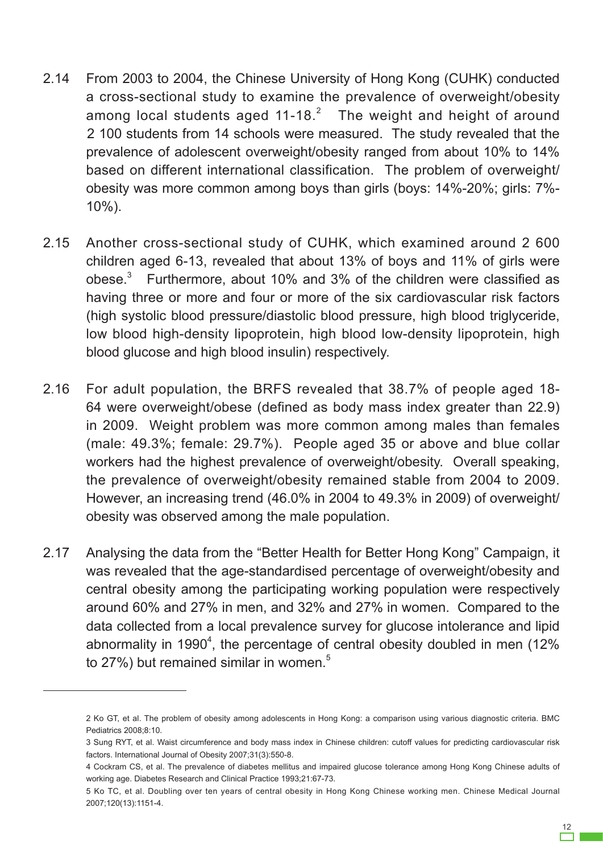- 2.14 From 2003 to 2004, the Chinese University of Hong Kong (CUHK) conducted a cross-sectional study to examine the prevalence of overweight/obesity among local students aged 11-18. $^{2}$  The weight and height of around 2 100 students from 14 schools were measured. The study revealed that the prevalence of adolescent overweight/obesity ranged from about 10% to 14% based on different international classification. The problem of overweight/ obesity was more common among boys than girls (boys: 14%-20%; girls: 7%- 10%).
- 2.15 Another cross-sectional study of CUHK, which examined around 2 600 children aged 6-13, revealed that about 13% of boys and 11% of girls were obese. $3$  Furthermore, about 10% and 3% of the children were classified as having three or more and four or more of the six cardiovascular risk factors (high systolic blood pressure/diastolic blood pressure, high blood triglyceride, low blood high-density lipoprotein, high blood low-density lipoprotein, high blood glucose and high blood insulin) respectively.
- 2.16 For adult population, the BRFS revealed that 38.7% of people aged 18- 64 were overweight/obese (defined as body mass index greater than 22.9) in 2009. Weight problem was more common among males than females (male: 49.3%; female: 29.7%). People aged 35 or above and blue collar workers had the highest prevalence of overweight/obesity. Overall speaking, the prevalence of overweight/obesity remained stable from 2004 to 2009. However, an increasing trend (46.0% in 2004 to 49.3% in 2009) of overweight/ obesity was observed among the male population.
- 2.17 Analysing the data from the "Better Health for Better Hong Kong" Campaign, it was revealed that the age-standardised percentage of overweight/obesity and central obesity among the participating working population were respectively around 60% and 27% in men, and 32% and 27% in women. Compared to the data collected from a local prevalence survey for glucose intolerance and lipid abnormality in 1990<sup>4</sup>, the percentage of central obesity doubled in men (12% to 27%) but remained similar in women.<sup>5</sup>

<sup>2</sup> Ko GT, et al. The problem of obesity among adolescents in Hong Kong: a comparison using various diagnostic criteria. BMC Pediatrics 2008;8:10.

<sup>3</sup> Sung RYT, et al. Waist circumference and body mass index in Chinese children: cutoff values for predicting cardiovascular risk factors. International Journal of Obesity 2007;31(3):550-8.

<sup>4</sup> Cockram CS, et al. The prevalence of diabetes mellitus and impaired glucose tolerance among Hong Kong Chinese adults of working age. Diabetes Research and Clinical Practice 1993;21:67-73.

<sup>5</sup> Ko TC, et al. Doubling over ten years of central obesity in Hong Kong Chinese working men. Chinese Medical Journal 2007;120(13):1151-4.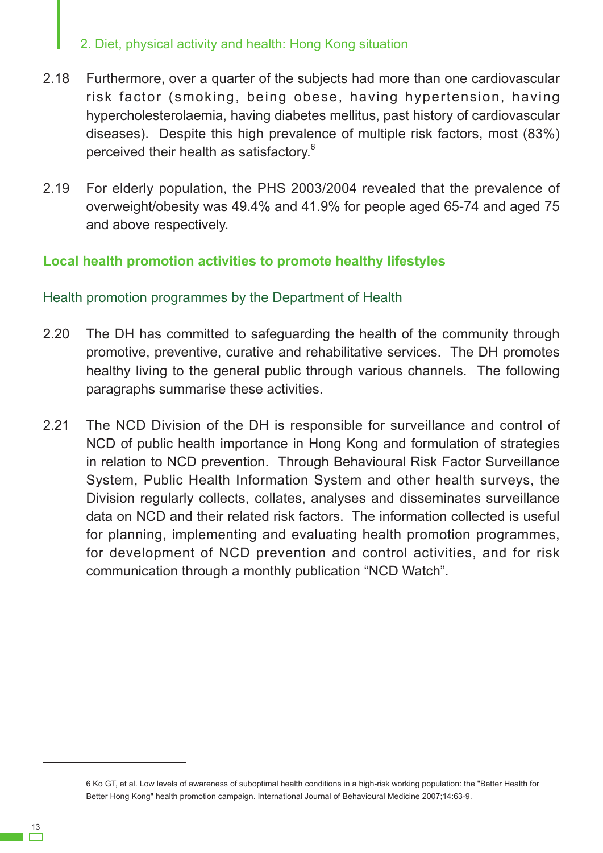- 2.18 Furthermore, over a quarter of the subjects had more than one cardiovascular risk factor (smoking, being obese, having hypertension, having hypercholesterolaemia, having diabetes mellitus, past history of cardiovascular diseases). Despite this high prevalence of multiple risk factors, most (83%) perceived their health as satisfactory.<sup>6</sup>
- 2.19 For elderly population, the PHS 2003/2004 revealed that the prevalence of overweight/obesity was 49.4% and 41.9% for people aged 65-74 and aged 75 and above respectively.

## **Local health promotion activities to promote healthy lifestyles**

#### Health promotion programmes by the Department of Health

- 2.20 The DH has committed to safeguarding the health of the community through promotive, preventive, curative and rehabilitative services. The DH promotes healthy living to the general public through various channels. The following paragraphs summarise these activities.
- 2.21 The NCD Division of the DH is responsible for surveillance and control of NCD of public health importance in Hong Kong and formulation of strategies in relation to NCD prevention. Through Behavioural Risk Factor Surveillance System, Public Health Information System and other health surveys, the Division regularly collects, collates, analyses and disseminates surveillance data on NCD and their related risk factors. The information collected is useful for planning, implementing and evaluating health promotion programmes, for development of NCD prevention and control activities, and for risk communication through a monthly publication "NCD Watch".

<sup>6</sup> Ko GT, et al. Low levels of awareness of suboptimal health conditions in a high-risk working population: the "Better Health for Better Hong Kong" health promotion campaign. International Journal of Behavioural Medicine 2007;14:63-9.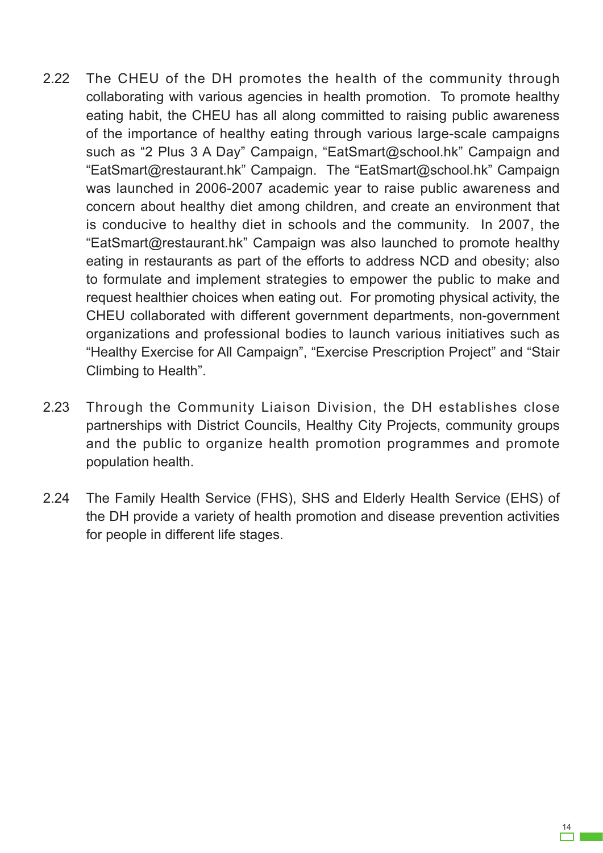- 2.22 The CHEU of the DH promotes the health of the community through collaborating with various agencies in health promotion. To promote healthy eating habit, the CHEU has all along committed to raising public awareness of the importance of healthy eating through various large-scale campaigns such as "2 Plus 3 A Day" Campaign, "EatSmart@school.hk" Campaign and "EatSmart@restaurant.hk" Campaign. The "EatSmart@school.hk" Campaign was launched in 2006-2007 academic year to raise public awareness and concern about healthy diet among children, and create an environment that is conducive to healthy diet in schools and the community. In 2007, the "EatSmart@restaurant.hk" Campaign was also launched to promote healthy eating in restaurants as part of the efforts to address NCD and obesity; also to formulate and implement strategies to empower the public to make and request healthier choices when eating out. For promoting physical activity, the CHEU collaborated with different government departments, non-government organizations and professional bodies to launch various initiatives such as "Healthy Exercise for All Campaign", "Exercise Prescription Project" and "Stair Climbing to Health".
- 2.23 Through the Community Liaison Division, the DH establishes close partnerships with District Councils, Healthy City Projects, community groups and the public to organize health promotion programmes and promote population health.
- 2.24 The Family Health Service (FHS), SHS and Elderly Health Service (EHS) of the DH provide a variety of health promotion and disease prevention activities for people in different life stages.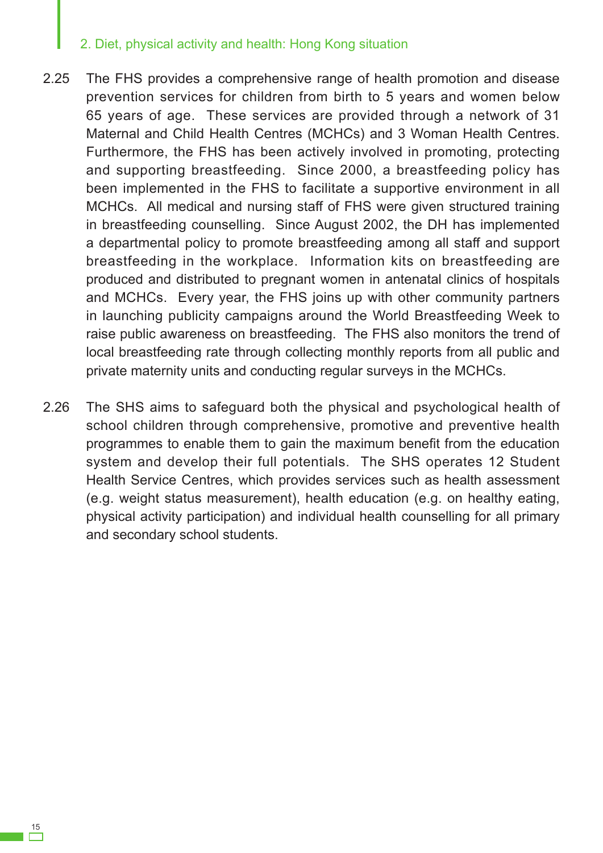- 2.25 The FHS provides a comprehensive range of health promotion and disease prevention services for children from birth to 5 years and women below 65 years of age. These services are provided through a network of 31 Maternal and Child Health Centres (MCHCs) and 3 Woman Health Centres. Furthermore, the FHS has been actively involved in promoting, protecting and supporting breastfeeding. Since 2000, a breastfeeding policy has been implemented in the FHS to facilitate a supportive environment in all MCHCs. All medical and nursing staff of FHS were given structured training in breastfeeding counselling. Since August 2002, the DH has implemented a departmental policy to promote breastfeeding among all staff and support breastfeeding in the workplace. Information kits on breastfeeding are produced and distributed to pregnant women in antenatal clinics of hospitals and MCHCs. Every year, the FHS joins up with other community partners in launching publicity campaigns around the World Breastfeeding Week to raise public awareness on breastfeeding. The FHS also monitors the trend of local breastfeeding rate through collecting monthly reports from all public and private maternity units and conducting regular surveys in the MCHCs.
- 2.26 The SHS aims to safeguard both the physical and psychological health of school children through comprehensive, promotive and preventive health programmes to enable them to gain the maximum benefit from the education system and develop their full potentials. The SHS operates 12 Student Health Service Centres, which provides services such as health assessment (e.g. weight status measurement), health education (e.g. on healthy eating, physical activity participation) and individual health counselling for all primary and secondary school students.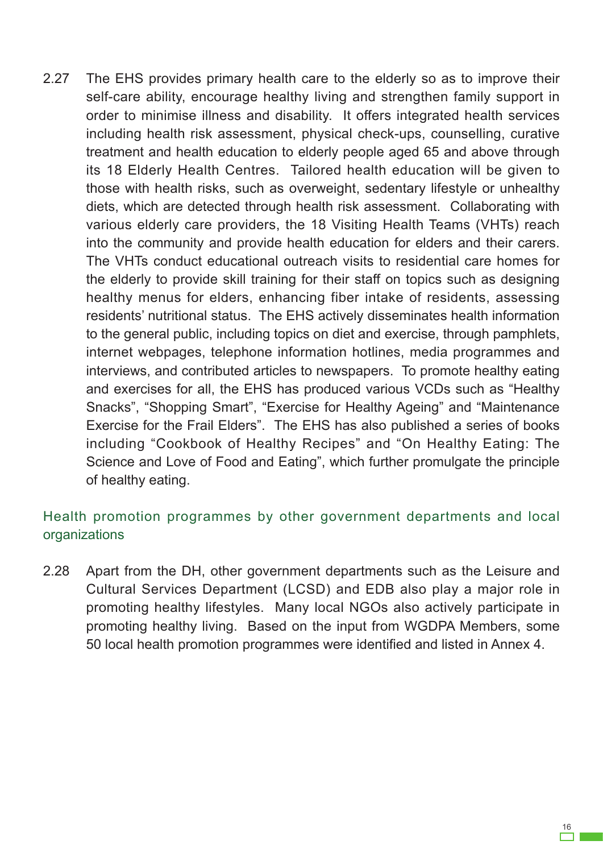2.27 The EHS provides primary health care to the elderly so as to improve their self-care ability, encourage healthy living and strengthen family support in order to minimise illness and disability. It offers integrated health services including health risk assessment, physical check-ups, counselling, curative treatment and health education to elderly people aged 65 and above through its 18 Elderly Health Centres. Tailored health education will be given to those with health risks, such as overweight, sedentary lifestyle or unhealthy diets, which are detected through health risk assessment. Collaborating with various elderly care providers, the 18 Visiting Health Teams (VHTs) reach into the community and provide health education for elders and their carers. The VHTs conduct educational outreach visits to residential care homes for the elderly to provide skill training for their staff on topics such as designing healthy menus for elders, enhancing fiber intake of residents, assessing residents' nutritional status. The EHS actively disseminates health information to the general public, including topics on diet and exercise, through pamphlets, internet webpages, telephone information hotlines, media programmes and interviews, and contributed articles to newspapers. To promote healthy eating and exercises for all, the EHS has produced various VCDs such as "Healthy Snacks", "Shopping Smart", "Exercise for Healthy Ageing" and "Maintenance Exercise for the Frail Elders". The EHS has also published a series of books including "Cookbook of Healthy Recipes" and "On Healthy Eating: The Science and Love of Food and Eating", which further promulgate the principle of healthy eating.

## Health promotion programmes by other government departments and local organizations

2.28 Apart from the DH, other government departments such as the Leisure and Cultural Services Department (LCSD) and EDB also play a major role in promoting healthy lifestyles. Many local NGOs also actively participate in promoting healthy living. Based on the input from WGDPA Members, some 50 local health promotion programmes were identified and listed in Annex 4.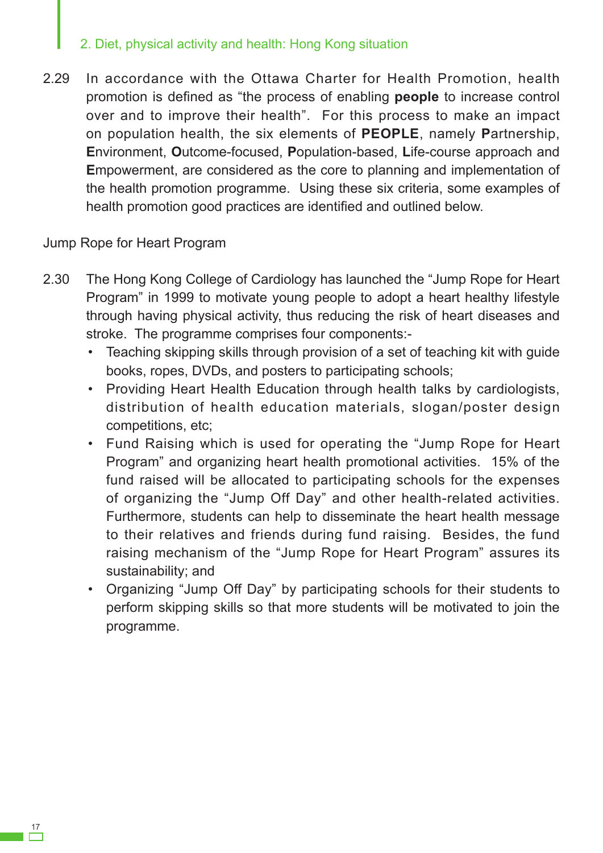2.29 In accordance with the Ottawa Charter for Health Promotion, health promotion is defined as "the process of enabling **people** to increase control over and to improve their health". For this process to make an impact on population health, the six elements of **PEOPLE**, namely **P**artnership, **E**nvironment, **O**utcome-focused, **P**opulation-based, **L**ife-course approach and **E**mpowerment, are considered as the core to planning and implementation of the health promotion programme. Using these six criteria, some examples of health promotion good practices are identified and outlined below.

Jump Rope for Heart Program

- 2.30 The Hong Kong College of Cardiology has launched the "Jump Rope for Heart" Program" in 1999 to motivate young people to adopt a heart healthy lifestyle through having physical activity, thus reducing the risk of heart diseases and stroke. The programme comprises four components:-
	- Teaching skipping skills through provision of a set of teaching kit with guide books, ropes, DVDs, and posters to participating schools;
	- Providing Heart Health Education through health talks by cardiologists, distribution of health education materials, slogan/poster design competitions, etc;
	- Fund Raising which is used for operating the "Jump Rope for Heart Program" and organizing heart health promotional activities. 15% of the fund raised will be allocated to participating schools for the expenses of organizing the "Jump Off Day" and other health-related activities. Furthermore, students can help to disseminate the heart health message to their relatives and friends during fund raising. Besides, the fund raising mechanism of the "Jump Rope for Heart Program" assures its sustainability; and
	- • Organizing "Jump Off Day" by participating schools for their students to perform skipping skills so that more students will be motivated to join the programme.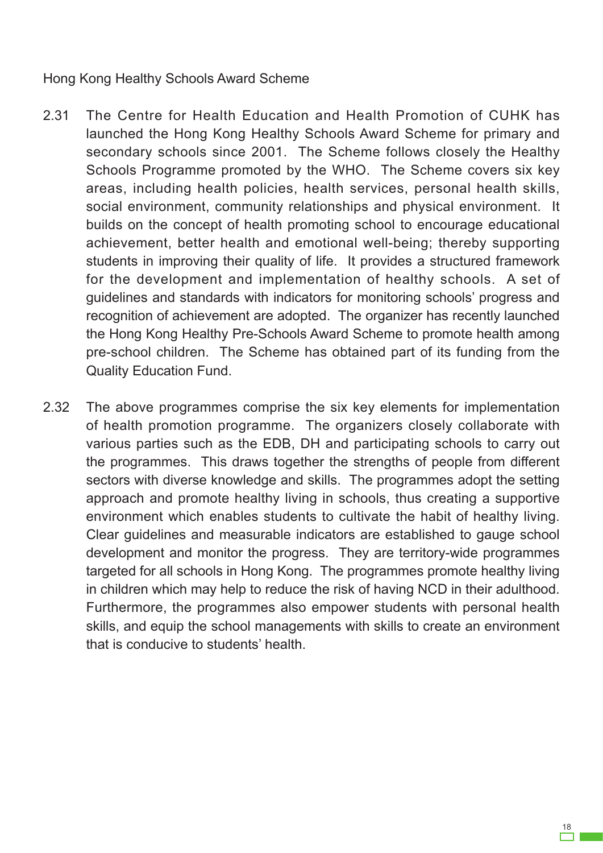#### Hong Kong Healthy Schools Award Scheme

- 2.31 The Centre for Health Education and Health Promotion of CUHK has launched the Hong Kong Healthy Schools Award Scheme for primary and secondary schools since 2001. The Scheme follows closely the Healthy Schools Programme promoted by the WHO. The Scheme covers six key areas, including health policies, health services, personal health skills, social environment, community relationships and physical environment. It builds on the concept of health promoting school to encourage educational achievement, better health and emotional well-being; thereby supporting students in improving their quality of life. It provides a structured framework for the development and implementation of healthy schools. A set of guidelines and standards with indicators for monitoring schools' progress and recognition of achievement are adopted. The organizer has recently launched the Hong Kong Healthy Pre-Schools Award Scheme to promote health among pre-school children. The Scheme has obtained part of its funding from the Quality Education Fund.
- 2.32 The above programmes comprise the six key elements for implementation of health promotion programme. The organizers closely collaborate with various parties such as the EDB, DH and participating schools to carry out the programmes. This draws together the strengths of people from different sectors with diverse knowledge and skills. The programmes adopt the setting approach and promote healthy living in schools, thus creating a supportive environment which enables students to cultivate the habit of healthy living. Clear guidelines and measurable indicators are established to gauge school development and monitor the progress. They are territory-wide programmes targeted for all schools in Hong Kong. The programmes promote healthy living in children which may help to reduce the risk of having NCD in their adulthood. Furthermore, the programmes also empower students with personal health skills, and equip the school managements with skills to create an environment that is conducive to students' health.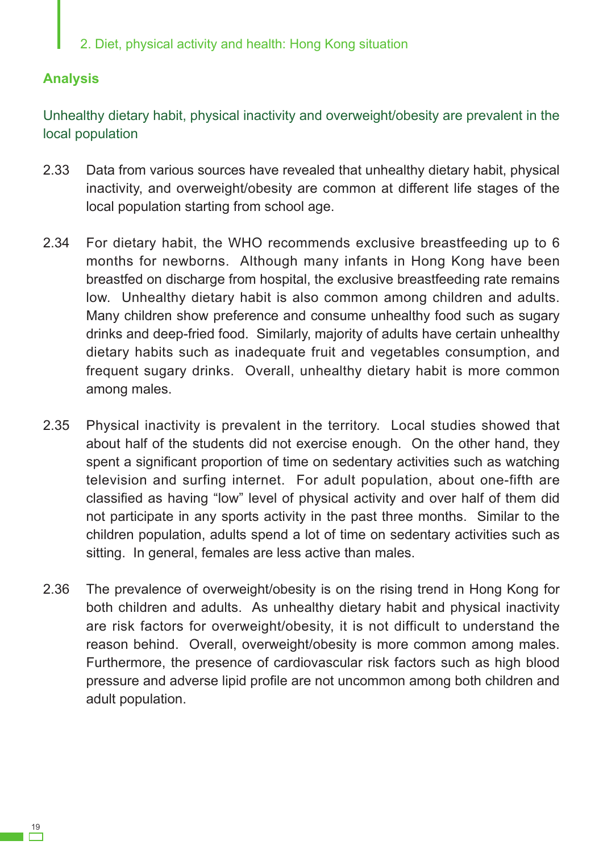#### **Analysis**

Unhealthy dietary habit, physical inactivity and overweight/obesity are prevalent in the local population

- 2.33 Data from various sources have revealed that unhealthy dietary habit, physical inactivity, and overweight/obesity are common at different life stages of the local population starting from school age.
- 2.34 For dietary habit, the WHO recommends exclusive breastfeeding up to 6 months for newborns. Although many infants in Hong Kong have been breastfed on discharge from hospital, the exclusive breastfeeding rate remains low. Unhealthy dietary habit is also common among children and adults. Many children show preference and consume unhealthy food such as sugary drinks and deep-fried food. Similarly, majority of adults have certain unhealthy dietary habits such as inadequate fruit and vegetables consumption, and frequent sugary drinks. Overall, unhealthy dietary habit is more common among males.
- 2.35 Physical inactivity is prevalent in the territory. Local studies showed that about half of the students did not exercise enough. On the other hand, they spent a significant proportion of time on sedentary activities such as watching television and surfing internet. For adult population, about one-fifth are classified as having "low" level of physical activity and over half of them did not participate in any sports activity in the past three months. Similar to the children population, adults spend a lot of time on sedentary activities such as sitting. In general, females are less active than males.
- 2.36 The prevalence of overweight/obesity is on the rising trend in Hong Kong for both children and adults. As unhealthy dietary habit and physical inactivity are risk factors for overweight/obesity, it is not difficult to understand the reason behind. Overall, overweight/obesity is more common among males. Furthermore, the presence of cardiovascular risk factors such as high blood pressure and adverse lipid profile are not uncommon among both children and adult population.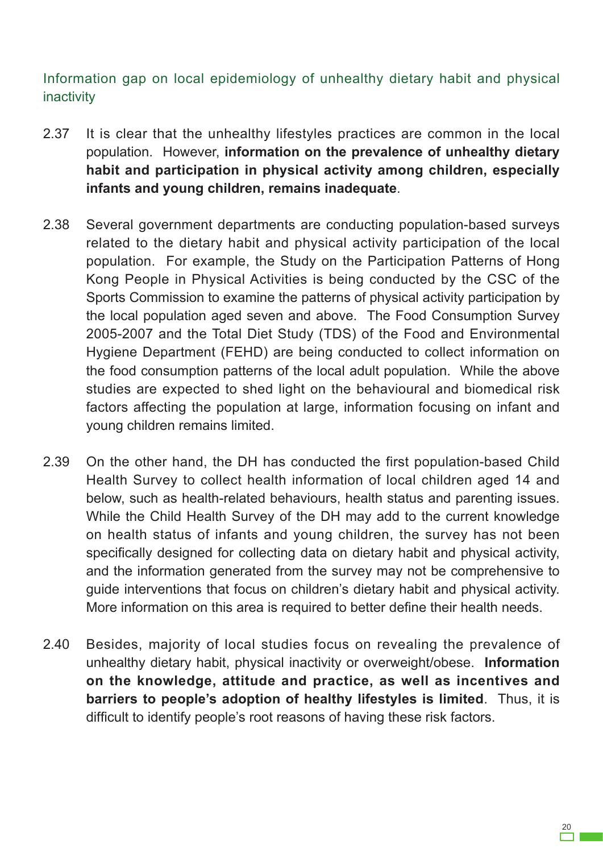Information gap on local epidemiology of unhealthy dietary habit and physical inactivity

- 2.37 It is clear that the unhealthy lifestyles practices are common in the local population. However, **information on the prevalence of unhealthy dietary habit and participation in physical activity among children, especially infants and young children, remains inadequate**.
- 2.38 Several government departments are conducting population-based surveys related to the dietary habit and physical activity participation of the local population. For example, the Study on the Participation Patterns of Hong Kong People in Physical Activities is being conducted by the CSC of the Sports Commission to examine the patterns of physical activity participation by the local population aged seven and above. The Food Consumption Survey 2005-2007 and the Total Diet Study (TDS) of the Food and Environmental Hygiene Department (FEHD) are being conducted to collect information on the food consumption patterns of the local adult population. While the above studies are expected to shed light on the behavioural and biomedical risk factors affecting the population at large, information focusing on infant and young children remains limited.
- 2.39 On the other hand, the DH has conducted the first population-based Child Health Survey to collect health information of local children aged 14 and below, such as health-related behaviours, health status and parenting issues. While the Child Health Survey of the DH may add to the current knowledge on health status of infants and young children, the survey has not been specifically designed for collecting data on dietary habit and physical activity, and the information generated from the survey may not be comprehensive to guide interventions that focus on children's dietary habit and physical activity. More information on this area is required to better define their health needs.
- 2.40 Besides, majority of local studies focus on revealing the prevalence of unhealthy dietary habit, physical inactivity or overweight/obese. **Information on the knowledge, attitude and practice, as well as incentives and barriers to people's adoption of healthy lifestyles is limited**. Thus, it is difficult to identify people's root reasons of having these risk factors.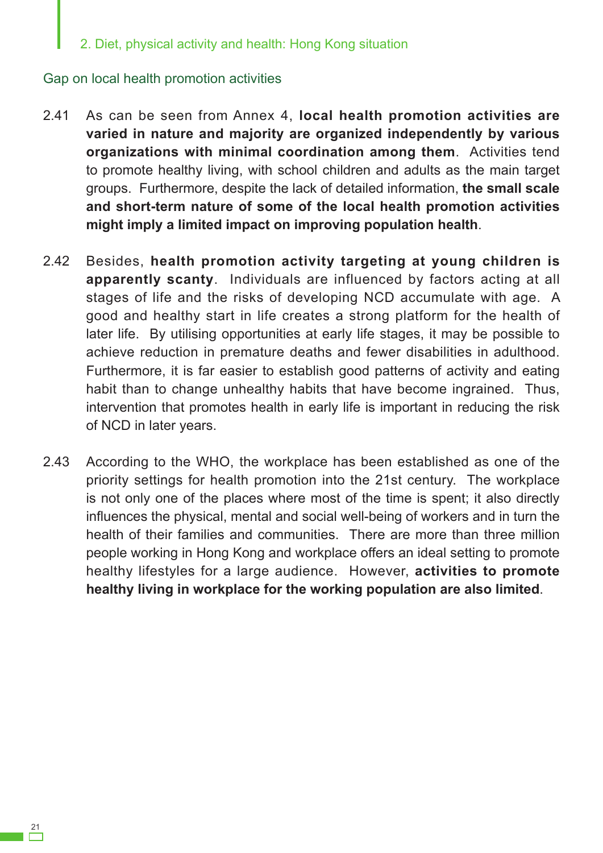#### Gap on local health promotion activities

- 2.41 As can be seen from Annex 4, **local health promotion activities are varied in nature and majority are organized independently by various organizations with minimal coordination among them**. Activities tend to promote healthy living, with school children and adults as the main target groups. Furthermore, despite the lack of detailed information, **the small scale and short-term nature of some of the local health promotion activities might imply a limited impact on improving population health**.
- 2.42 Besides, **health promotion activity targeting at young children is apparently scanty**. Individuals are influenced by factors acting at all stages of life and the risks of developing NCD accumulate with age. A good and healthy start in life creates a strong platform for the health of later life. By utilising opportunities at early life stages, it may be possible to achieve reduction in premature deaths and fewer disabilities in adulthood. Furthermore, it is far easier to establish good patterns of activity and eating habit than to change unhealthy habits that have become ingrained. Thus, intervention that promotes health in early life is important in reducing the risk of NCD in later years.
- 2.43 According to the WHO, the workplace has been established as one of the priority settings for health promotion into the 21st century. The workplace is not only one of the places where most of the time is spent; it also directly influences the physical, mental and social well-being of workers and in turn the health of their families and communities. There are more than three million people working in Hong Kong and workplace offers an ideal setting to promote healthy lifestyles for a large audience. However, **activities to promote healthy living in workplace for the working population are also limited**.